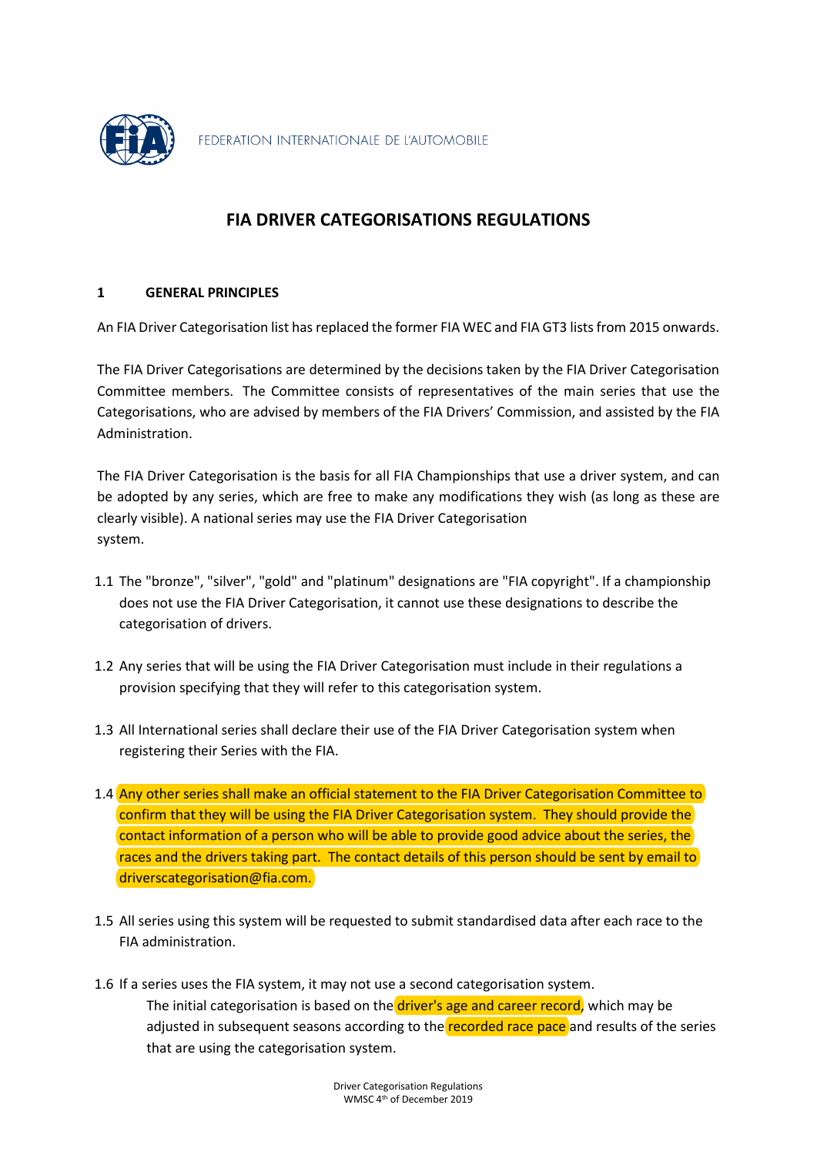

# **FIA DRIVER CATEGORISATIONS REGULATIONS**

### **1 GENERAL PRINCIPLES**

An FIA Driver Categorisation list has replaced the former FIA WEC and FIA GT3 lists from 2015 onwards.

The FIA Driver Categorisations are determined by the decisions taken by the FIA Driver Categorisation Committee members. The Committee consists of representatives of the main series that use the Categorisations, who are advised by members of the FIA Drivers' Commission, and assisted by the FIA Administration.

The FIA Driver Categorisation is the basis for all FIA Championships that use a driver system, and can be adopted by any series, which are free to make any modifications they wish (as long as these are clearly visible). A national series may use the FIA Driver Categorisation system.

- 1.1 The "bronze", "silver", "gold" and "platinum" designations are "FIA copyright". If a championship does not use the FIA Driver Categorisation, it cannot use these designations to describe the categorisation of drivers.
- 1.2 Any series that will be using the FIA Driver Categorisation must include in their regulations a provision specifying that they will refer to this categorisation system.
- 1.3 All International series shall declare their use of the FIA Driver Categorisation system when registering their Series with the FIA.
- 1.4 Any other series shall make an official statement to the FIA Driver Categorisation Committee to confirm that they will be using the FIA Driver Categorisation system. They should provide the contact information of a person who will be able to provide good advice about the series, the races and the drivers taking part. The contact details of this person should be sent by email to driverscategorisation@fia.com.
- 1.5 All series using this system will be requested to submit standardised data after each race to the FIA administration.
- 1.6 If a series uses the FIA system, it may not use a second categorisation system. The initial categorisation is based on the driver's age and career record, which may be adjusted in subsequent seasons according to the recorded race pace and results of the series that are using the categorisation system.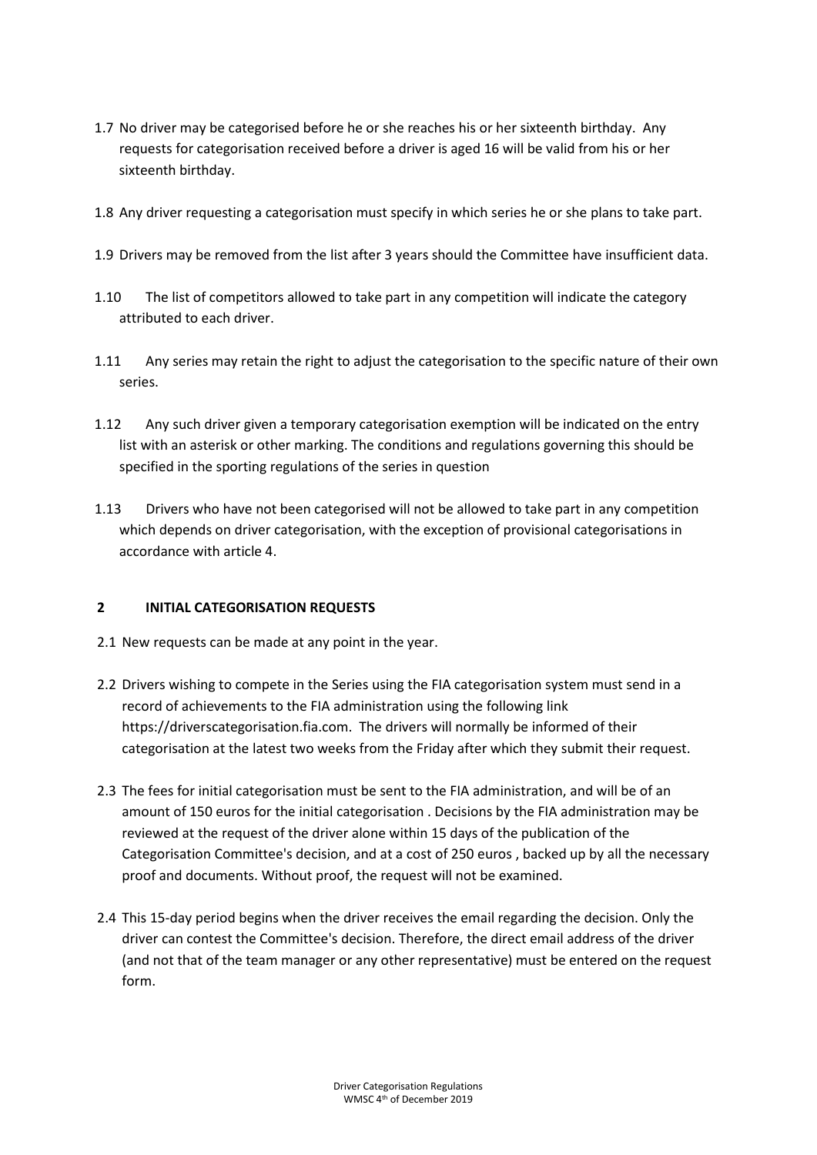- 1.7 No driver may be categorised before he or she reaches his or her sixteenth birthday. Any requests for categorisation received before a driver is aged 16 will be valid from his or her sixteenth birthday.
- 1.8 Any driver requesting a categorisation must specify in which series he or she plans to take part.
- 1.9 Drivers may be removed from the list after 3 years should the Committee have insufficient data.
- 1.10 The list of competitors allowed to take part in any competition will indicate the category attributed to each driver.
- 1.11 Any series may retain the right to adjust the categorisation to the specific nature of their own series.
- 1.12 Any such driver given a temporary categorisation exemption will be indicated on the entry list with an asterisk or other marking. The conditions and regulations governing this should be specified in the sporting regulations of the series in question
- 1.13 Drivers who have not been categorised will not be allowed to take part in any competition which depends on driver categorisation, with the exception of provisional categorisations in accordance with article 4.

### **2 INITIAL CATEGORISATION REQUESTS**

- 2.1 New requests can be made at any point in the year.
- 2.2 Drivers wishing to compete in the Series using the FIA categorisation system must send in a record of achievements to the FIA administration using the following link https://driverscategorisation.fia.com. The drivers will normally be informed of their categorisation at the latest two weeks from the Friday after which they submit their request.
- 2.3 The fees for initial categorisation must be sent to the FIA administration, and will be of an amount of 150 euros for the initial categorisation . Decisions by the FIA administration may be reviewed at the request of the driver alone within 15 days of the publication of the Categorisation Committee's decision, and at a cost of 250 euros , backed up by all the necessary proof and documents. Without proof, the request will not be examined.
- 2.4 This 15-day period begins when the driver receives the email regarding the decision. Only the driver can contest the Committee's decision. Therefore, the direct email address of the driver (and not that of the team manager or any other representative) must be entered on the request form.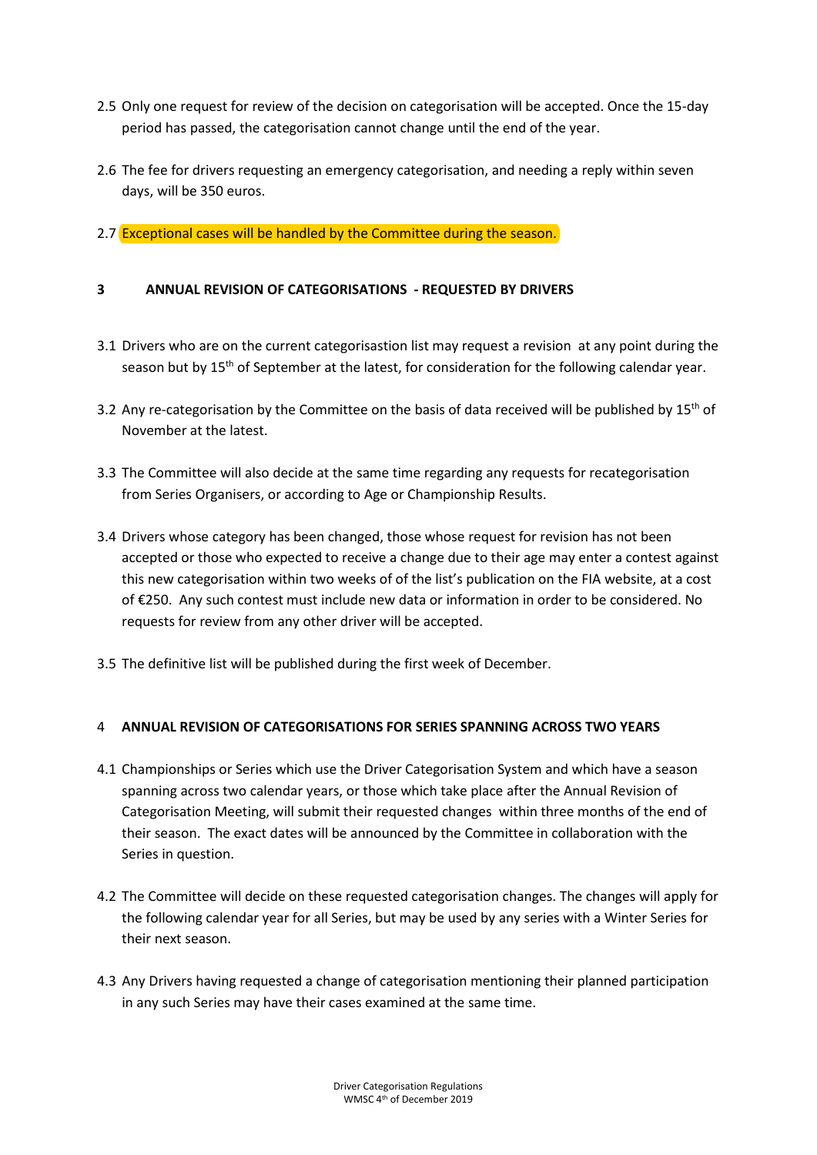- 2.5 Only one request for review of the decision on categorisation will be accepted. Once the 15-day period has passed, the categorisation cannot change until the end of the year.
- 2.6 The fee for drivers requesting an emergency categorisation, and needing a reply within seven days, will be 350 euros.

### 2.7 Exceptional cases will be handled by the Committee during the season.

### **3 ANNUAL REVISION OF CATEGORISATIONS - REQUESTED BY DRIVERS**

- 3.1 Drivers who are on the current categorisastion list may request a revision at any point during the season but by 15<sup>th</sup> of September at the latest, for consideration for the following calendar year.
- 3.2 Any re-categorisation by the Committee on the basis of data received will be published by  $15<sup>th</sup>$  of November at the latest.
- 3.3 The Committee will also decide at the same time regarding any requests for recategorisation from Series Organisers, or according to Age or Championship Results.
- 3.4 Drivers whose category has been changed, those whose request for revision has not been accepted or those who expected to receive a change due to their age may enter a contest against this new categorisation within two weeks of of the list's publication on the FIA website, at a cost of €250. Any such contest must include new data or information in order to be considered. No requests for review from any other driver will be accepted.
- 3.5 The definitive list will be published during the first week of December.

### 4 **ANNUAL REVISION OF CATEGORISATIONS FOR SERIES SPANNING ACROSS TWO YEARS**

- 4.1 Championships or Series which use the Driver Categorisation System and which have a season spanning across two calendar years, or those which take place after the Annual Revision of Categorisation Meeting, will submit their requested changes within three months of the end of their season. The exact dates will be announced by the Committee in collaboration with the Series in question.
- 4.2 The Committee will decide on these requested categorisation changes. The changes will apply for the following calendar year for all Series, but may be used by any series with a Winter Series for their next season.
- 4.3 Any Drivers having requested a change of categorisation mentioning their planned participation in any such Series may have their cases examined at the same time.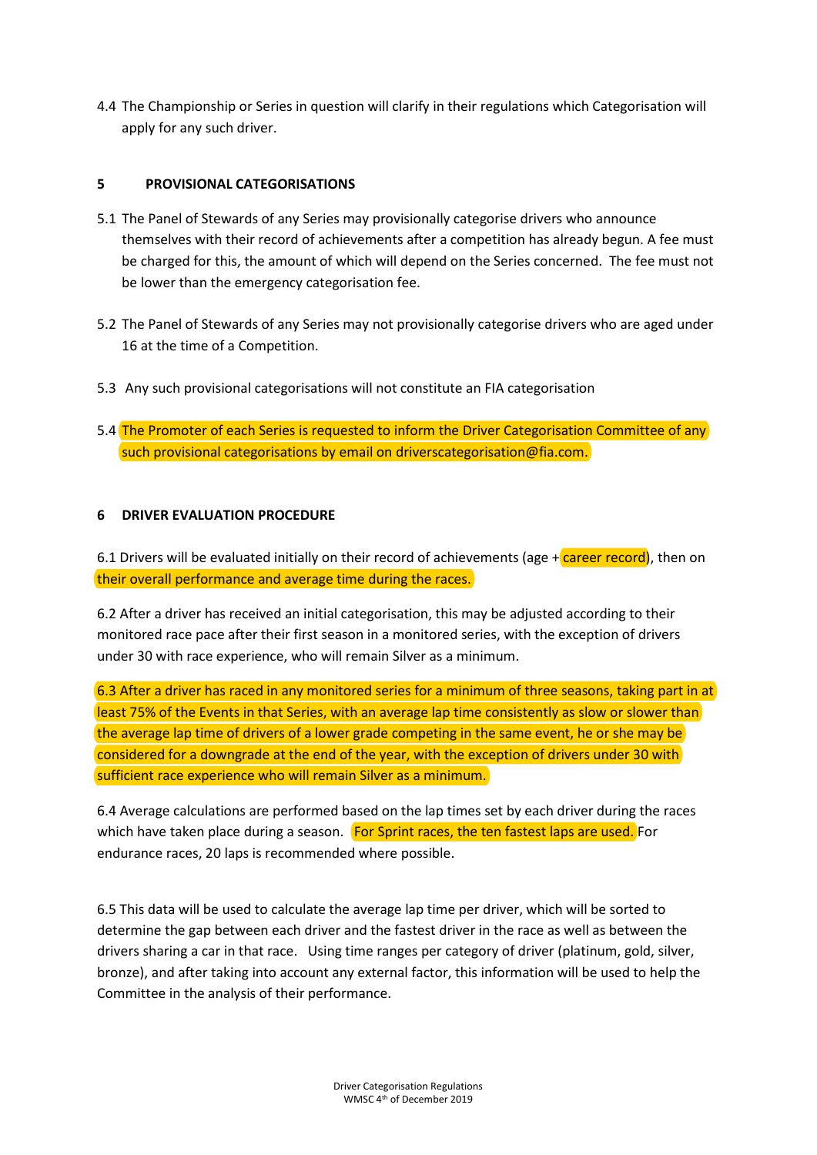4.4 The Championship or Series in question will clarify in their regulations which Categorisation will apply for any such driver.

### **5 PROVISIONAL CATEGORISATIONS**

- 5.1 The Panel of Stewards of any Series may provisionally categorise drivers who announce themselves with their record of achievements after a competition has already begun. A fee must be charged for this, the amount of which will depend on the Series concerned. The fee must not be lower than the emergency categorisation fee.
- 5.2 The Panel of Stewards of any Series may not provisionally categorise drivers who are aged under 16 at the time of a Competition.
- 5.3 Any such provisional categorisations will not constitute an FIA categorisation
- 5.4 The Promoter of each Series is requested to inform the Driver Categorisation Committee of any such provisional categorisations by email on driverscategorisation@fia.com.

### **6 DRIVER EVALUATION PROCEDURE**

6.1 Drivers will be evaluated initially on their record of achievements (age  $+$  career record), then on their overall performance and average time during the races.

6.2 After a driver has received an initial categorisation, this may be adjusted according to their monitored race pace after their first season in a monitored series, with the exception of drivers under 30 with race experience, who will remain Silver as a minimum.

6.3 After a driver has raced in any monitored series for a minimum of three seasons, taking part in at least 75% of the Events in that Series, with an average lap time consistently as slow or slower than the average lap time of drivers of a lower grade competing in the same event, he or she may be considered for a downgrade at the end of the year, with the exception of drivers under 30 with sufficient race experience who will remain Silver as a minimum.

6.4 Average calculations are performed based on the lap times set by each driver during the races which have taken place during a season. For Sprint races, the ten fastest laps are used. For endurance races, 20 laps is recommended where possible.

6.5 This data will be used to calculate the average lap time per driver, which will be sorted to determine the gap between each driver and the fastest driver in the race as well as between the drivers sharing a car in that race. Using time ranges per category of driver (platinum, gold, silver, bronze), and after taking into account any external factor, this information will be used to help the Committee in the analysis of their performance.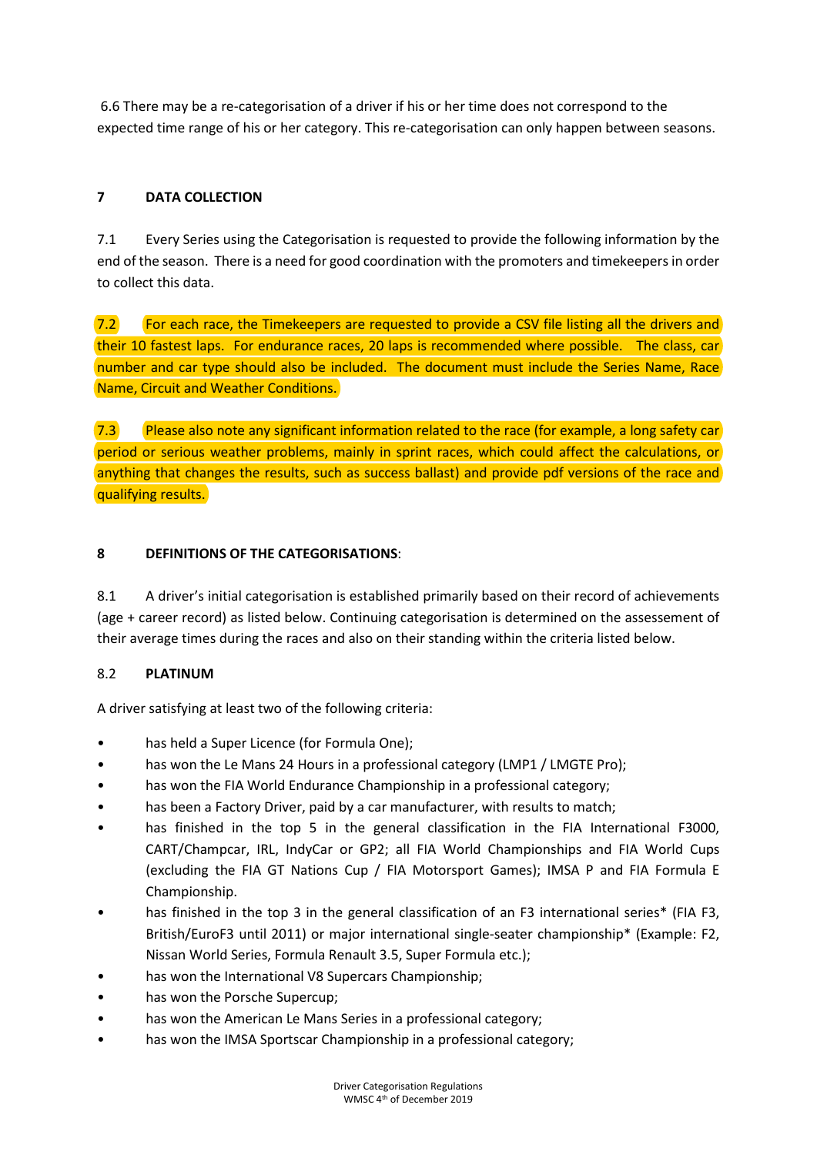6.6 There may be a re-categorisation of a driver if his or her time does not correspond to the expected time range of his or her category. This re-categorisation can only happen between seasons.

# **7 DATA COLLECTION**

7.1 Every Series using the Categorisation is requested to provide the following information by the end of the season. There is a need for good coordination with the promoters and timekeepers in order to collect this data.

 $7.2$  For each race, the Timekeepers are requested to provide a CSV file listing all the drivers and their 10 fastest laps. For endurance races, 20 laps is recommended where possible. The class, car number and car type should also be included. The document must include the Series Name, Race Name, Circuit and Weather Conditions.

 $7.3$  Please also note any significant information related to the race (for example, a long safety car) period or serious weather problems, mainly in sprint races, which could affect the calculations, or anything that changes the results, such as success ballast) and provide pdf versions of the race and qualifying results.

# **8 DEFINITIONS OF THE CATEGORISATIONS**:

8.1 A driver's initial categorisation is established primarily based on their record of achievements (age + career record) as listed below. Continuing categorisation is determined on the assessement of their average times during the races and also on their standing within the criteria listed below.

# 8.2 **PLATINUM**

A driver satisfying at least two of the following criteria:

- has held a Super Licence (for Formula One);
- has won the Le Mans 24 Hours in a professional category (LMP1 / LMGTE Pro);
- has won the FIA World Endurance Championship in a professional category;
- has been a Factory Driver, paid by a car manufacturer, with results to match;
- has finished in the top 5 in the general classification in the FIA International F3000, CART/Champcar, IRL, IndyCar or GP2; all FIA World Championships and FIA World Cups (excluding the FIA GT Nations Cup / FIA Motorsport Games); IMSA P and FIA Formula E Championship.
- has finished in the top 3 in the general classification of an F3 international series\* (FIA F3, British/EuroF3 until 2011) or major international single-seater championship\* (Example: F2, Nissan World Series, Formula Renault 3.5, Super Formula etc.);
- has won the International V8 Supercars Championship;
- has won the Porsche Supercup;
- has won the American Le Mans Series in a professional category;
- has won the IMSA Sportscar Championship in a professional category;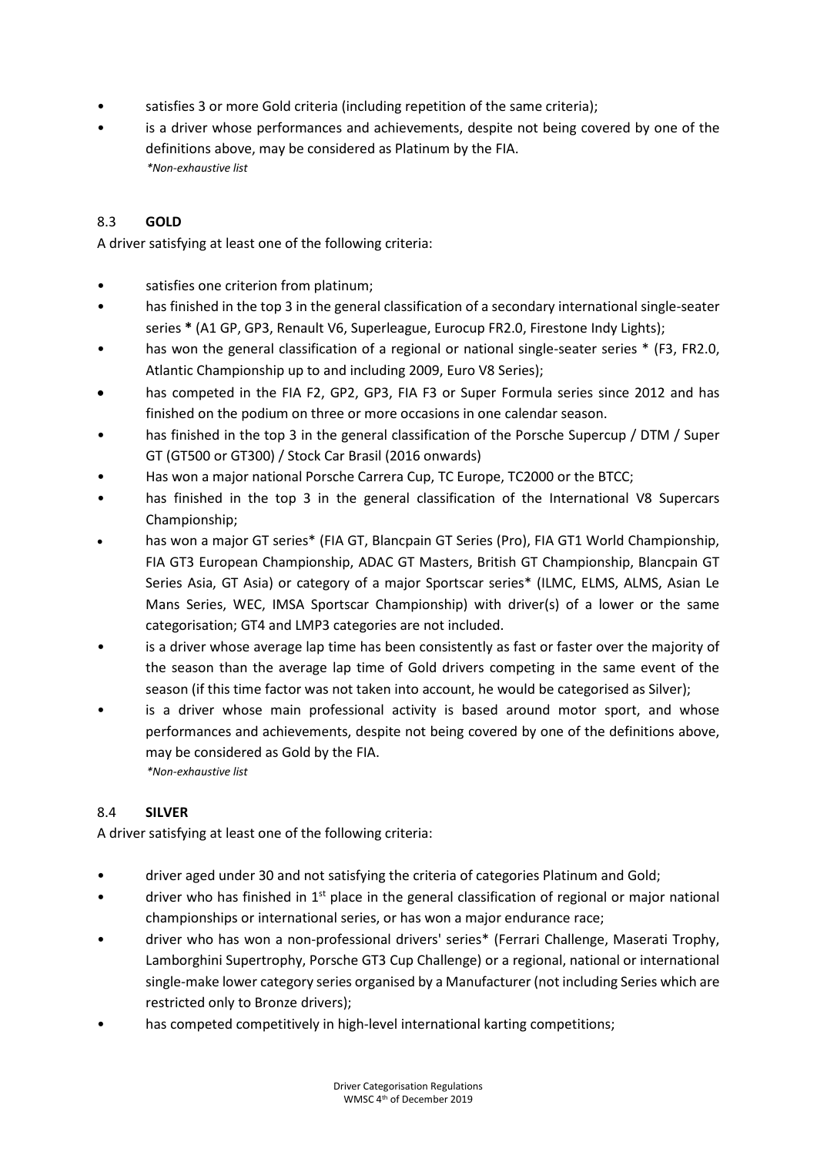- satisfies 3 or more Gold criteria (including repetition of the same criteria);
- is a driver whose performances and achievements, despite not being covered by one of the definitions above, may be considered as Platinum by the FIA. *\*Non-exhaustive list*

### 8.3 **GOLD**

A driver satisfying at least one of the following criteria:

- satisfies one criterion from platinum;
- has finished in the top 3 in the general classification of a secondary international single-seater series **\*** (A1 GP, GP3, Renault V6, Superleague, Eurocup FR2.0, Firestone Indy Lights);
- has won the general classification of a regional or national single-seater series \* (F3, FR2.0, Atlantic Championship up to and including 2009, Euro V8 Series);
- has competed in the FIA F2, GP2, GP3, FIA F3 or Super Formula series since 2012 and has finished on the podium on three or more occasions in one calendar season.
- has finished in the top 3 in the general classification of the Porsche Supercup / DTM / Super GT (GT500 or GT300) / Stock Car Brasil (2016 onwards)
- Has won a major national Porsche Carrera Cup, TC Europe, TC2000 or the BTCC;
- has finished in the top 3 in the general classification of the International V8 Supercars Championship;
- has won a major GT series\* (FIA GT, Blancpain GT Series (Pro), FIA GT1 World Championship, FIA GT3 European Championship, ADAC GT Masters, British GT Championship, Blancpain GT Series Asia, GT Asia) or category of a major Sportscar series\* (ILMC, ELMS, ALMS, Asian Le Mans Series, WEC, IMSA Sportscar Championship) with driver(s) of a lower or the same categorisation; GT4 and LMP3 categories are not included.
- is a driver whose average lap time has been consistently as fast or faster over the majority of the season than the average lap time of Gold drivers competing in the same event of the season (if this time factor was not taken into account, he would be categorised as Silver);
- is a driver whose main professional activity is based around motor sport, and whose performances and achievements, despite not being covered by one of the definitions above, may be considered as Gold by the FIA. *\*Non-exhaustive list*

### 8.4 **SILVER**

A driver satisfying at least one of the following criteria:

- driver aged under 30 and not satisfying the criteria of categories Platinum and Gold;
- driver who has finished in  $1<sup>st</sup>$  place in the general classification of regional or major national championships or international series, or has won a major endurance race;
- driver who has won a non-professional drivers' series\* (Ferrari Challenge, Maserati Trophy, Lamborghini Supertrophy, Porsche GT3 Cup Challenge) or a regional, national or international single-make lower category series organised by a Manufacturer (not including Series which are restricted only to Bronze drivers);
- has competed competitively in high-level international karting competitions;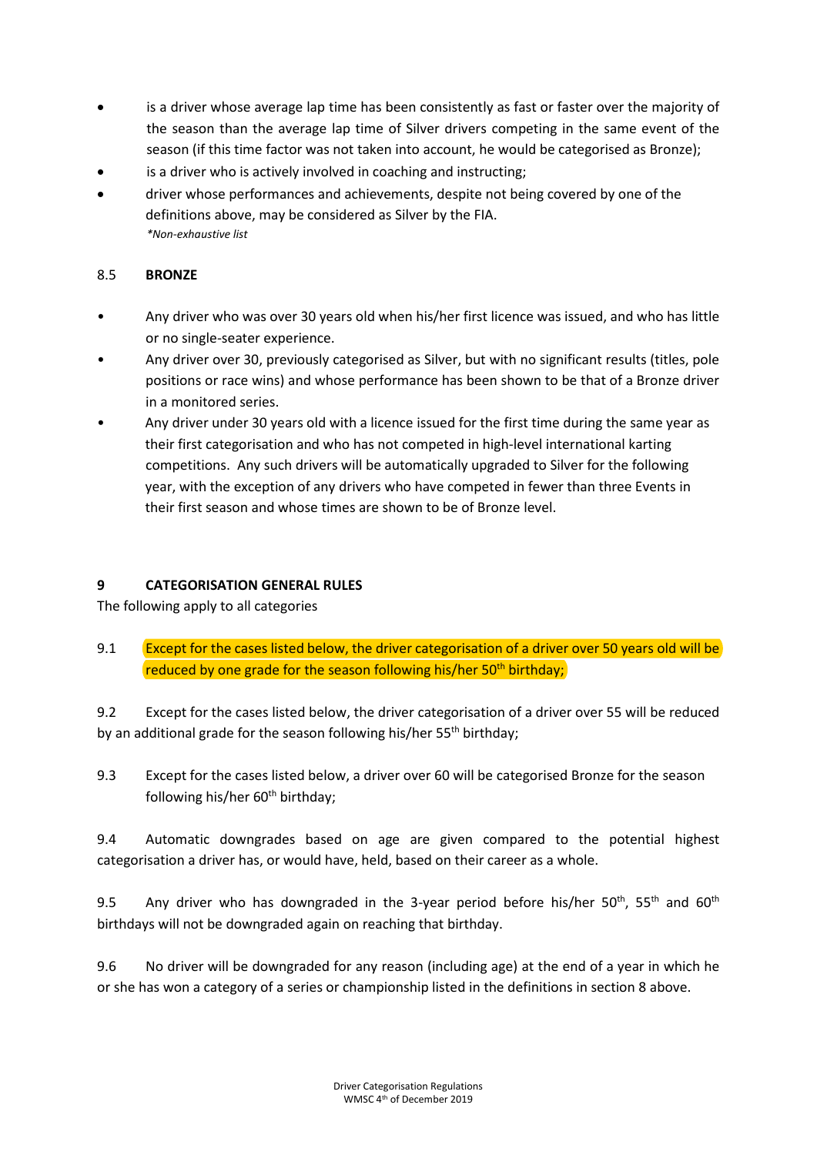- is a driver whose average lap time has been consistently as fast or faster over the majority of the season than the average lap time of Silver drivers competing in the same event of the season (if this time factor was not taken into account, he would be categorised as Bronze);
- is a driver who is actively involved in coaching and instructing;
- driver whose performances and achievements, despite not being covered by one of the definitions above, may be considered as Silver by the FIA. *\*Non-exhaustive list*

### 8.5 **BRONZE**

- Any driver who was over 30 years old when his/her first licence was issued, and who has little or no single-seater experience.
- Any driver over 30, previously categorised as Silver, but with no significant results (titles, pole positions or race wins) and whose performance has been shown to be that of a Bronze driver in a monitored series.
- Any driver under 30 years old with a licence issued for the first time during the same year as their first categorisation and who has not competed in high-level international karting competitions. Any such drivers will be automatically upgraded to Silver for the following year, with the exception of any drivers who have competed in fewer than three Events in their first season and whose times are shown to be of Bronze level.

### **9 CATEGORISATION GENERAL RULES**

The following apply to all categories

9.1 Except for the cases listed below, the driver categorisation of a driver over 50 years old will be reduced by one grade for the season following his/her  $50<sup>th</sup>$  birthday;

9.2 Except for the cases listed below, the driver categorisation of a driver over 55 will be reduced by an additional grade for the season following his/her 55<sup>th</sup> birthday;

9.3 Except for the cases listed below, a driver over 60 will be categorised Bronze for the season following his/her  $60<sup>th</sup>$  birthday;

9.4 Automatic downgrades based on age are given compared to the potential highest categorisation a driver has, or would have, held, based on their career as a whole.

9.5 Any driver who has downgraded in the 3-year period before his/her  $50<sup>th</sup>$ ,  $55<sup>th</sup>$  and  $60<sup>th</sup>$ birthdays will not be downgraded again on reaching that birthday.

9.6 No driver will be downgraded for any reason (including age) at the end of a year in which he or she has won a category of a series or championship listed in the definitions in section 8 above.